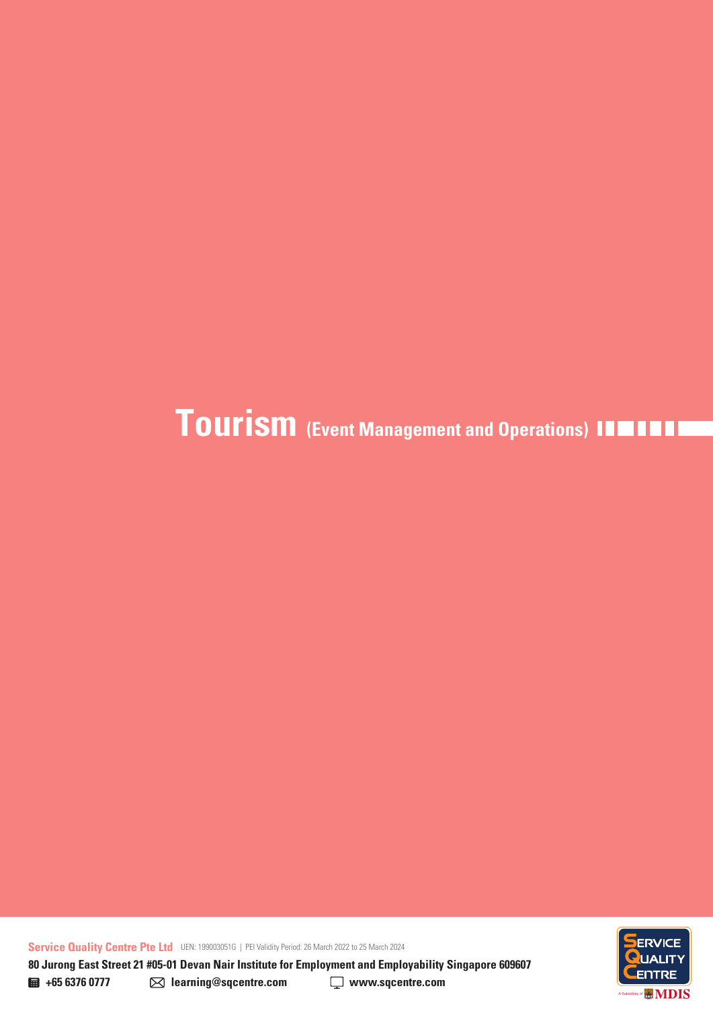**Service Quality Centre Pte Ltd** UEN: 199003051G | PEI Validity Period: 26 March 2022 to 25 March 2024

ENTRE A Subsidiary of

**+65 6376 0777 learning@sqcentre.com www.sqcentre.com 80 Jurong East Street 21 #05-01 Devan Nair Institute for Employment and Employability Singapore 609607**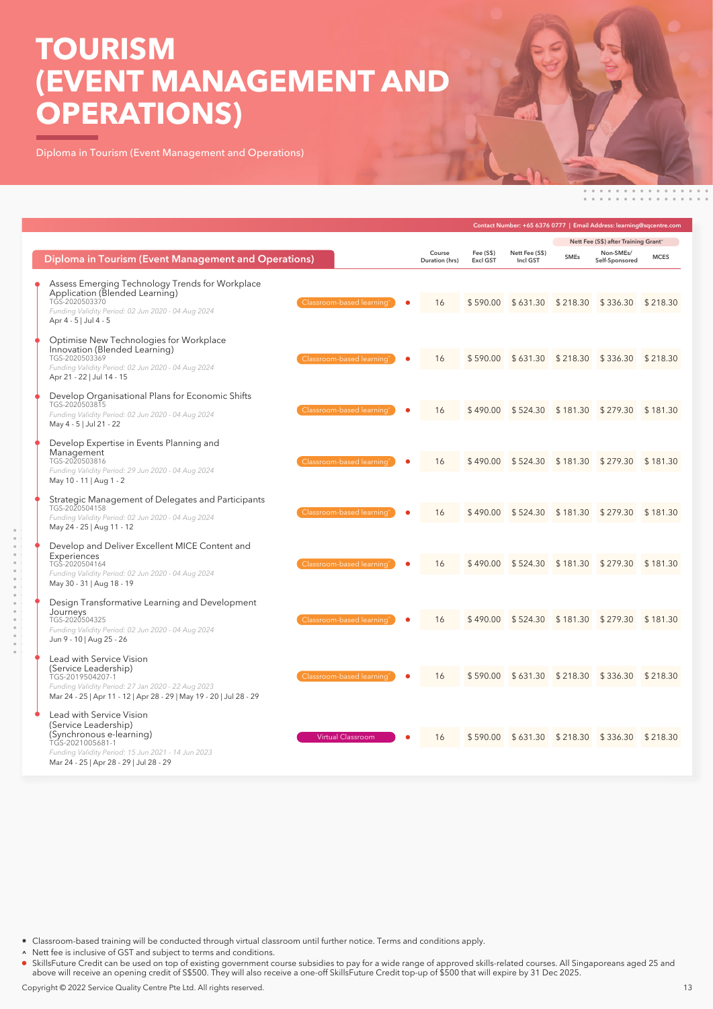# **TOURISM (EVENT MANAGEMENT AND OPERATIONS)**

Diploma in Tourism (Event Management and Operations)

|                                                                                                                                                                                                                               |                          |                              | Contact Number: +65 6376 0777   Email Address: learning@sqcentre.com |                                     |                               |             |  |
|-------------------------------------------------------------------------------------------------------------------------------------------------------------------------------------------------------------------------------|--------------------------|------------------------------|----------------------------------------------------------------------|-------------------------------------|-------------------------------|-------------|--|
|                                                                                                                                                                                                                               |                          |                              |                                                                      | Nett Fee (S\$) after Training Grant |                               |             |  |
| Diploma in Tourism (Event Management and Operations)                                                                                                                                                                          | Course<br>Duration (hrs) | Fee (S\$)<br><b>Excl GST</b> | Nett Fee (S\$)<br>Incl GST                                           | <b>SMEs</b>                         | Non-SMEs/<br>Self-Sponsored   | <b>MCES</b> |  |
| Assess Emerging Technology Trends for Workplace<br>Application (Blended Learning)<br>TGS-2020503370<br>Classroom-based learning'<br>Funding Validity Period: 02 Jun 2020 - 04 Aug 2024<br>Apr 4 - 5   Jul 4 - 5               | 16                       | \$590.00                     | \$631.30                                                             | \$218.30                            | \$336.30                      | \$218.30    |  |
| Optimise New Technologies for Workplace<br>Innovation (Blended Learning)<br>TGS-2020503369<br>Classroom-based learning'<br>Funding Validity Period: 02 Jun 2020 - 04 Aug 2024<br>Apr 21 - 22   Jul 14 - 15                    | 16                       | \$590.00                     | \$631.30                                                             | \$218.30                            | $$336.30$ $$218.30$           |             |  |
| Develop Organisational Plans for Economic Shifts<br>TGS-2020503815<br>Classroom-based learning'<br>Funding Validity Period: 02 Jun 2020 - 04 Aug 2024<br>May 4 - 5   Jul 21 - 22                                              | 16                       | \$490.00                     | \$524.30                                                             | \$181.30                            | $$279.30$ $$181.30$           |             |  |
| Develop Expertise in Events Planning and<br>Management<br>TGS-2020503816<br>Classroom-based learning'<br>Funding Validity Period: 29 Jun 2020 - 04 Aug 2024<br>May 10 - 11   Aug 1 - 2                                        | 16                       | \$490.00                     | \$524.30                                                             |                                     | $$181.30$ $$279.30$ $$181.30$ |             |  |
| Strategic Management of Delegates and Participants<br>TGS-2020504158<br>Classroom-based learning<br>Funding Validity Period: 02 Jun 2020 - 04 Aug 2024<br>May 24 - 25   Aug 11 - 12                                           | 16                       | \$490.00                     | \$524.30                                                             | \$181.30                            | $$279.30$ $$181.30$           |             |  |
| Develop and Deliver Excellent MICE Content and<br>Experiences<br>Classroom-based learning'<br>TGS-2020504164<br>Funding Validity Period: 02 Jun 2020 - 04 Aug 2024<br>May 30 - 31   Aug 18 - 19                               | 16                       | \$490.00                     | \$524.30                                                             |                                     | $$181.30$ $$279.30$ $$181.30$ |             |  |
| Design Transformative Learning and Development<br>Journeys<br>TGS-2020504325<br>Classroom-based learning*<br>Funding Validity Period: 02 Jun 2020 - 04 Aug 2024<br>Jun 9 - 10   Aug 25 - 26                                   | 16                       | \$490.00                     | \$524.30                                                             | \$181.30                            | $$279.30$ $$181.30$           |             |  |
| Lead with Service Vision<br>(Service Leadership)<br>Classroom-based learning<br>TGS-2019504207-1<br>Funding Validity Period: 27 Jan 2020 - 22 Aug 2023<br>Mar 24 - 25   Apr 11 - 12   Apr 28 - 29   May 19 - 20   Jul 28 - 29 | 16                       | \$590.00                     | \$631.30                                                             | \$218.30                            | \$336.30 \$218.30             |             |  |
| Lead with Service Vision<br>(Service Leadership)<br>(Synchronous e-learning)<br><b>Virtual Classroom</b><br>TGS-2021005681-1<br>Funding Validity Period: 15 Jun 2021 - 14 Jun 2023<br>Mar 24 - 25   Apr 28 - 29   Jul 28 - 29 | 16                       | \$590.00                     | \$631.30                                                             | \$218.30                            | \$336.30                      | \$218.30    |  |

Classroom-based training will be conducted through virtual classroom until further notice. Terms and conditions apply.

A Nett fee is inclusive of GST and subject to terms and conditions.

SkillsFuture Credit can be used on top of existing government course subsidies to pay for a wide range of approved skills-related courses. All Singaporeans aged 25 and above will receive an opening credit of S\$500. They will also receive a one-off SkillsFuture Credit top-up of \$500 that will expire by 31 Dec 2025.

Copyright © 2022 Service Quality Centre Pte Ltd. All rights reserved. 13<br>
13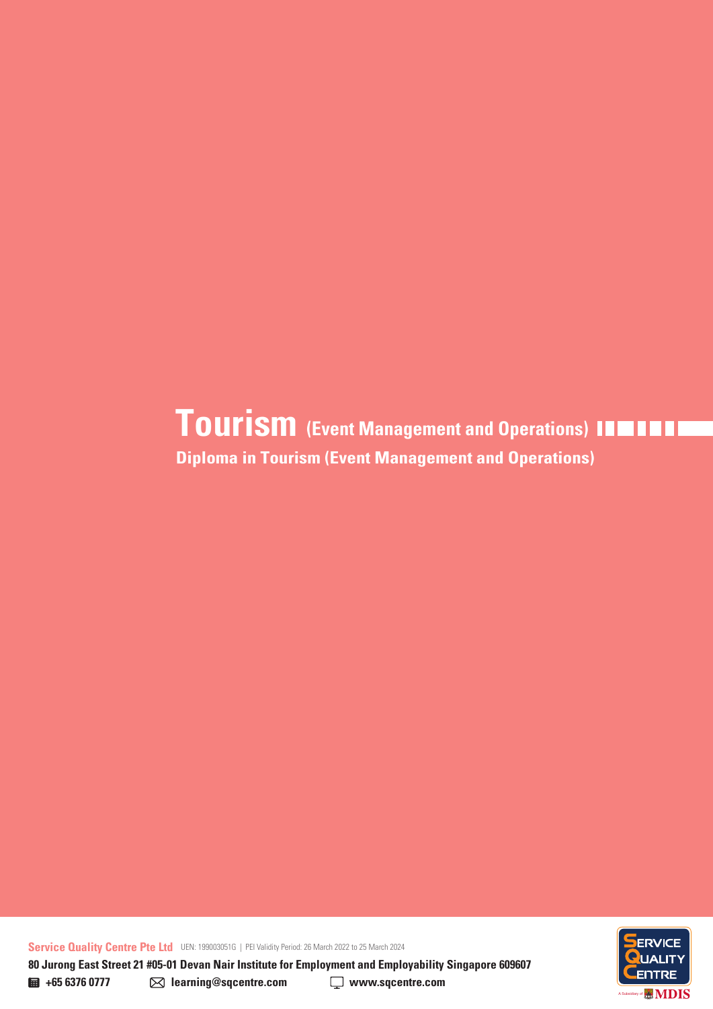**Diploma in Tourism (Event Management and Operations) Tourism (Event Management and Operations)**

**Service Quality Centre Pte Ltd** UEN: 199003051G | PEI Validity Period: 26 March 2022 to 25 March 2024



**80 Jurong East Street 21 #05-01 Devan Nair Institute for Employment and Employability Singapore 609607** 

**+65 6376 0777 learning@sqcentre.com www.sqcentre.com**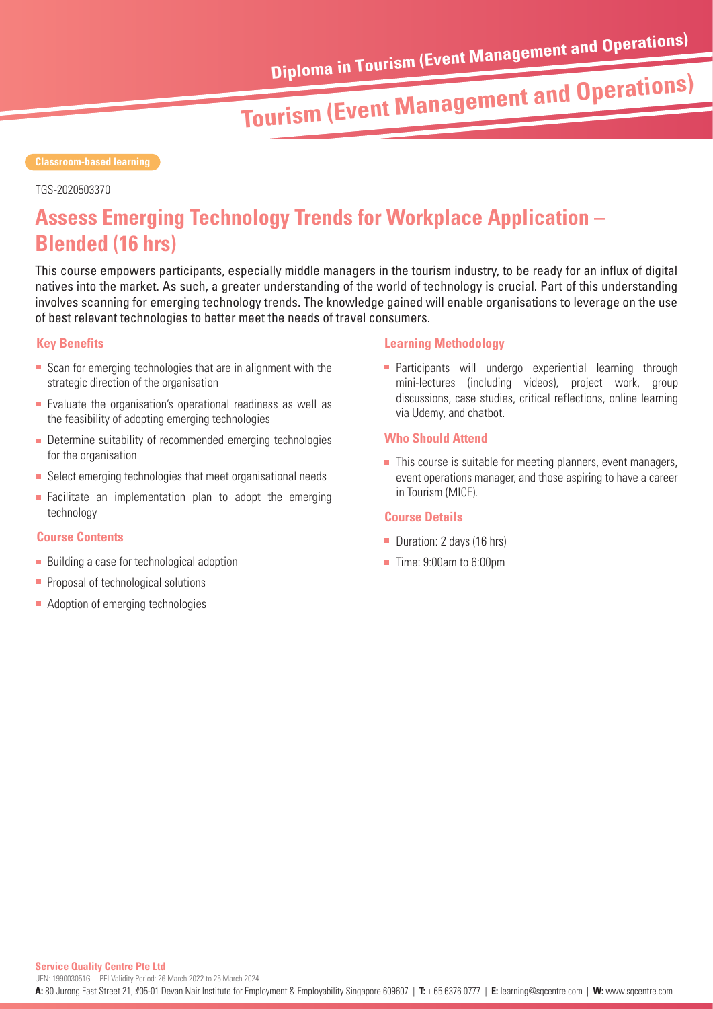#### **Classroom-based learning**

#### TGS-2020503370

## **Assess Emerging Technology Trends for Workplace Application – Blended (16 hrs)**

This course empowers participants, especially middle managers in the tourism industry, to be ready for an influx of digital natives into the market. As such, a greater understanding of the world of technology is crucial. Part of this understanding involves scanning for emerging technology trends. The knowledge gained will enable organisations to leverage on the use of best relevant technologies to better meet the needs of travel consumers.

#### **Key Benefits**

- Scan for emerging technologies that are in alignment with the strategic direction of the organisation
- **Exaluate the organisation's operational readiness as well as** the feasibility of adopting emerging technologies
- **Determine suitability of recommended emerging technologies** for the organisation
- Select emerging technologies that meet organisational needs
- **Facilitate an implementation plan to adopt the emerging** technology

#### **Course Contents**

- Building a case for technological adoption
- **Proposal of technological solutions**
- Adoption of emerging technologies

#### **Learning Methodology**

**Participants will undergo experiential learning through** mini-lectures (including videos), project work, group discussions, case studies, critical reflections, online learning via Udemy, and chatbot.

#### **Who Should Attend**

 $\blacksquare$  This course is suitable for meeting planners, event managers, event operations manager, and those aspiring to have a career in Tourism (MICE).

- Duration: 2 days (16 hrs)
- Time: 9:00am to 6:00pm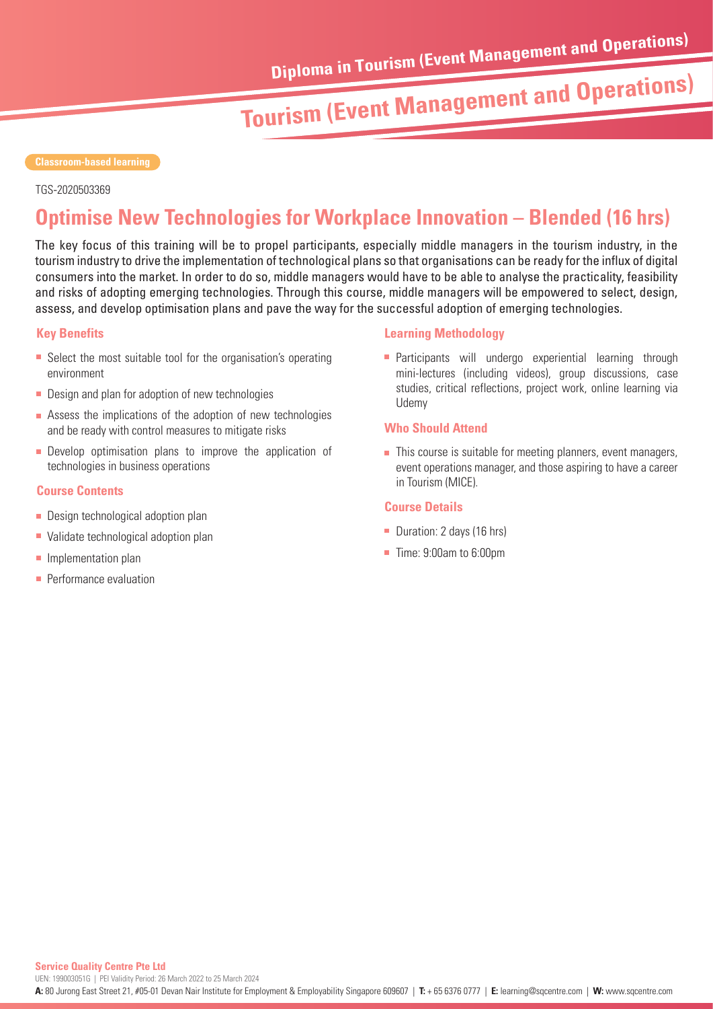#### **Classroom-based learning**

#### TGS-2020503369

### **Optimise New Technologies for Workplace Innovation – Blended (16 hrs)**

The key focus of this training will be to propel participants, especially middle managers in the tourism industry, in the tourism industry to drive the implementation of technological plans so that organisations can be ready for the influx of digital consumers into the market. In order to do so, middle managers would have to be able to analyse the practicality, feasibility and risks of adopting emerging technologies. Through this course, middle managers will be empowered to select, design, assess, and develop optimisation plans and pave the way for the successful adoption of emerging technologies.

#### **Key Benefits**

- Select the most suitable tool for the organisation's operating environment
- **Design and plan for adoption of new technologies**
- Assess the implications of the adoption of new technologies and be ready with control measures to mitigate risks
- **Develop optimisation plans to improve the application of** technologies in business operations

#### **Course Contents**

- **Design technological adoption plan**
- Validate technological adoption plan
- **Implementation plan**
- **Performance evaluation**

#### **Learning Methodology**

**Participants will undergo experiential learning through** mini-lectures (including videos), group discussions, case studies, critical reflections, project work, online learning via Udemy

#### **Who Should Attend**

 $\blacksquare$  This course is suitable for meeting planners, event managers, event operations manager, and those aspiring to have a career in Tourism (MICE).

- Duration: 2 days (16 hrs)
- Time: 9:00am to 6:00pm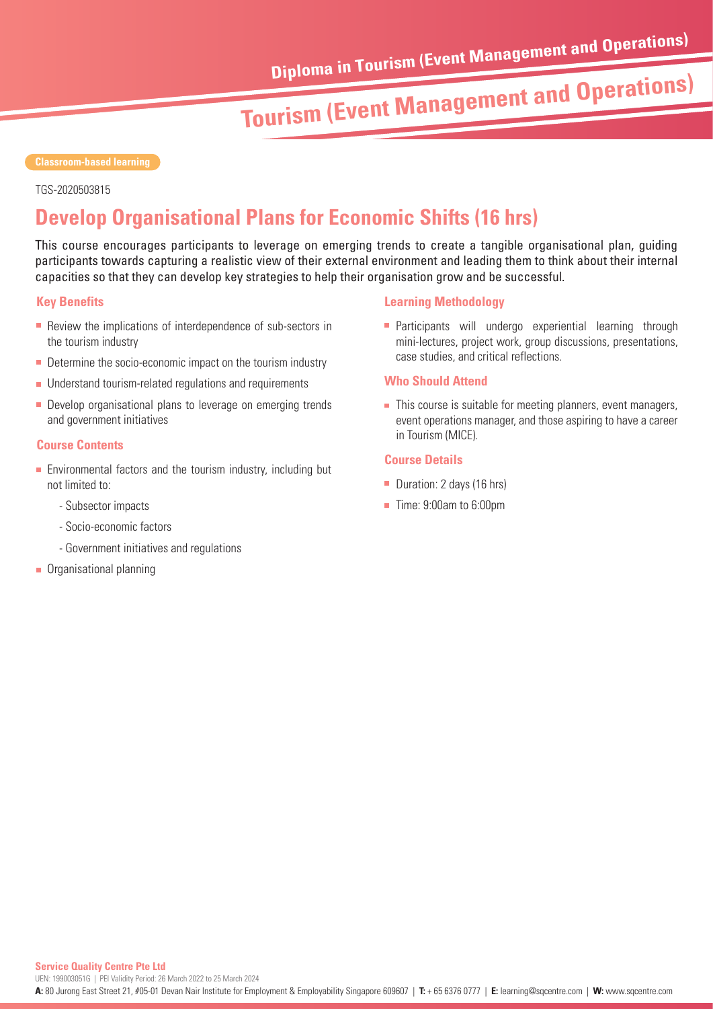TGS-2020503815

## **Develop Organisational Plans for Economic Shifts (16 hrs)**

This course encourages participants to leverage on emerging trends to create a tangible organisational plan, guiding participants towards capturing a realistic view of their external environment and leading them to think about their internal capacities so that they can develop key strategies to help their organisation grow and be successful.

#### **Key Benefits**

- Review the implications of interdependence of sub-sectors in the tourism industry
- Determine the socio-economic impact on the tourism industry
- **Understand tourism-related regulations and requirements**
- **Develop organisational plans to leverage on emerging trends** and government initiatives

#### **Course Contents**

- **Environmental factors and the tourism industry, including but** not limited to:
	- Subsector impacts
	- Socio-economic factors
	- Government initiatives and regulations
- **C**rganisational planning

#### **Learning Methodology**

**Participants will undergo experiential learning through** mini-lectures, project work, group discussions, presentations, case studies, and critical reflections.

#### **Who Should Attend**

 $\blacksquare$  This course is suitable for meeting planners, event managers, event operations manager, and those aspiring to have a career in Tourism (MICE).

- Duration: 2 days (16 hrs)
- Time: 9:00am to 6:00pm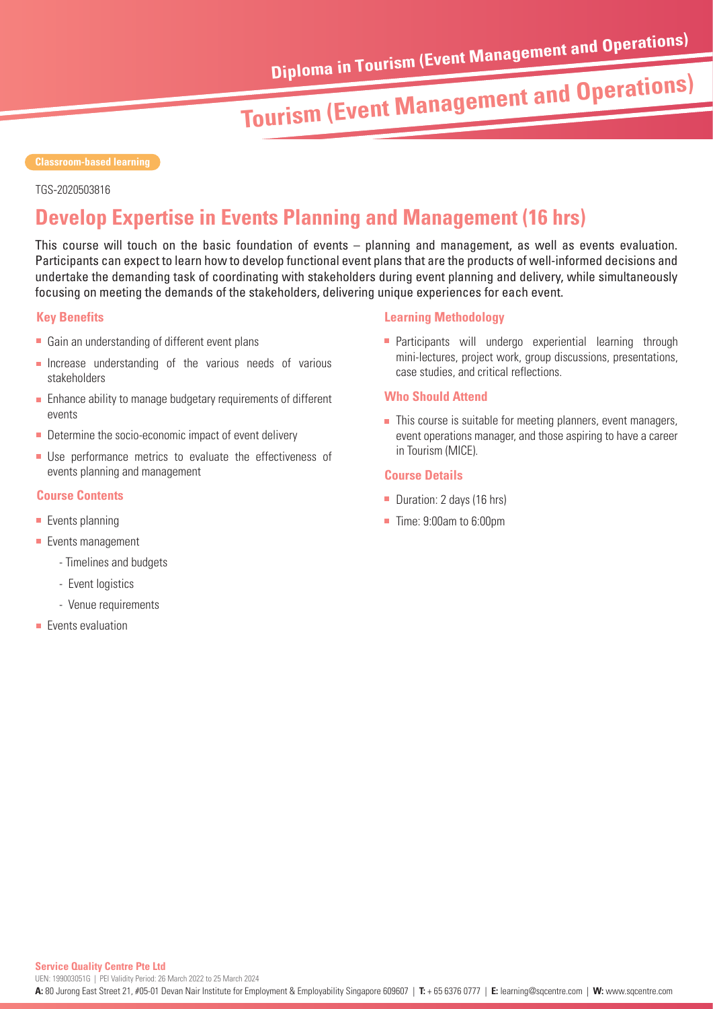TGS-2020503816

### **Develop Expertise in Events Planning and Management (16 hrs)**

This course will touch on the basic foundation of events – planning and management, as well as events evaluation. Participants can expect to learn how to develop functional event plans that are the products of well-informed decisions and undertake the demanding task of coordinating with stakeholders during event planning and delivery, while simultaneously focusing on meeting the demands of the stakeholders, delivering unique experiences for each event.

#### **Key Benefits**

- Gain an understanding of different event plans
- **Increase understanding of the various needs of various** stakeholders
- **Enhance ability to manage budgetary requirements of different** events
- Determine the socio-economic impact of event delivery
- **Use performance metrics to evaluate the effectiveness of** events planning and management

#### **Course Contents**

- $\blacksquare$  Events planning
- **Events management** 
	- Timelines and budgets
	- Event logistics
	- Venue requirements
- **Events evaluation**

#### **Learning Methodology**

**Participants will undergo experiential learning through** mini-lectures, project work, group discussions, presentations, case studies, and critical reflections.

#### **Who Should Attend**

 $\blacksquare$  This course is suitable for meeting planners, event managers, event operations manager, and those aspiring to have a career in Tourism (MICE).

- Duration: 2 days (16 hrs)
- Time: 9:00am to 6:00pm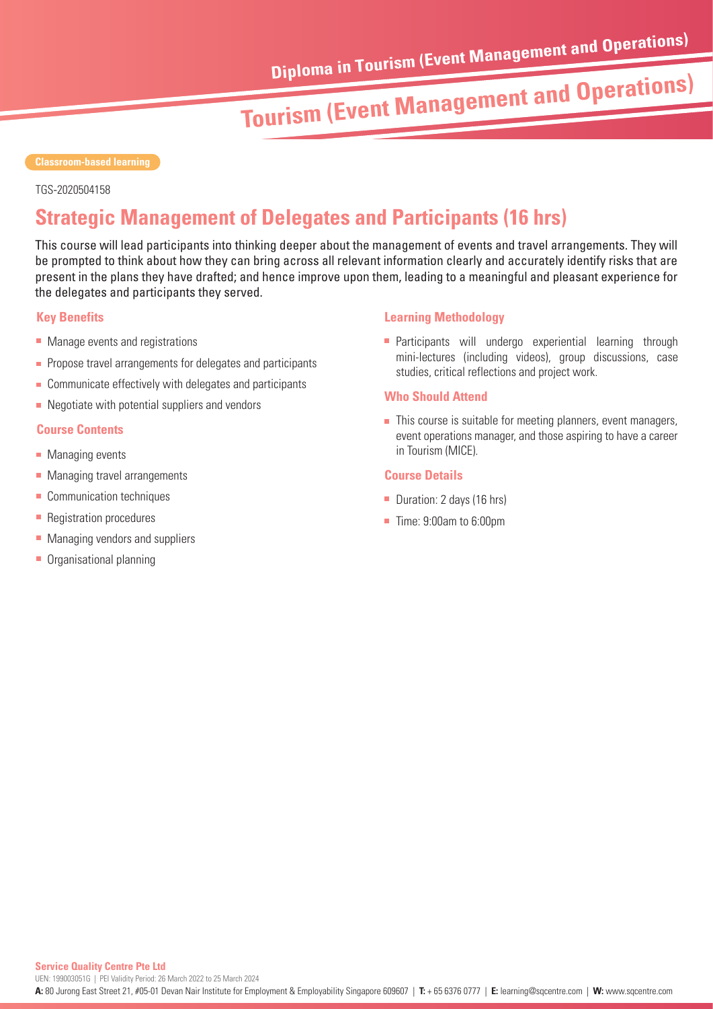TGS-2020504158

## **Strategic Management of Delegates and Participants (16 hrs)**

This course will lead participants into thinking deeper about the management of events and travel arrangements. They will be prompted to think about how they can bring across all relevant information clearly and accurately identify risks that are present in the plans they have drafted; and hence improve upon them, leading to a meaningful and pleasant experience for the delegates and participants they served.

#### **Key Benefits**

- Manage events and registrations
- **Propose travel arrangements for delegates and participants**
- Communicate effectively with delegates and participants
- $\blacksquare$  Negotiate with potential suppliers and vendors

#### **Course Contents**

- **Managing events**
- Managing travel arrangements
- Communication techniques
- **Registration procedures**
- **Managing vendors and suppliers**
- **C** Organisational planning

#### **Learning Methodology**

**Participants will undergo experiential learning through** mini-lectures (including videos), group discussions, case studies, critical reflections and project work.

#### **Who Should Attend**

 $\blacksquare$  This course is suitable for meeting planners, event managers, event operations manager, and those aspiring to have a career in Tourism (MICE).

- Duration: 2 days (16 hrs)
- Time: 9:00am to 6:00pm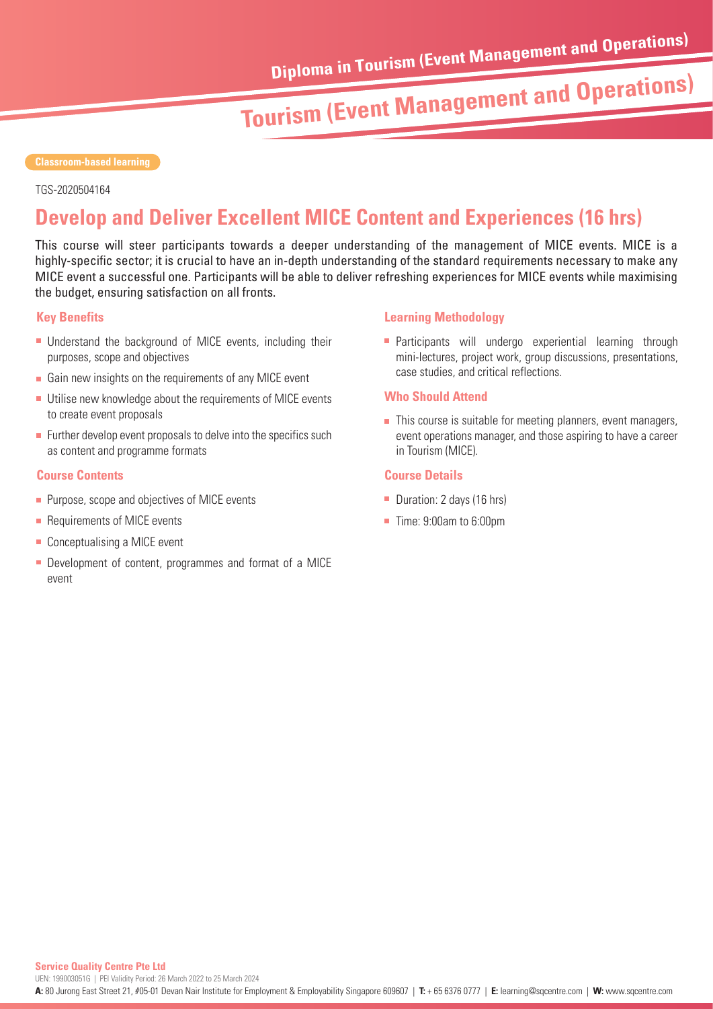#### **Classroom-based learning**

TGS-2020504164

## **Develop and Deliver Excellent MICE Content and Experiences (16 hrs)**

This course will steer participants towards a deeper understanding of the management of MICE events. MICE is a highly-specific sector; it is crucial to have an in-depth understanding of the standard requirements necessary to make any MICE event a successful one. Participants will be able to deliver refreshing experiences for MICE events while maximising the budget, ensuring satisfaction on all fronts.

#### **Key Benefits**

- Understand the background of MICE events, including their purposes, scope and objectives
- Gain new insights on the requirements of any MICE event
- Utilise new knowledge about the requirements of MICE events to create event proposals
- $\blacksquare$  Further develop event proposals to delve into the specifics such as content and programme formats

#### **Course Contents**

- **Purpose, scope and objectives of MICE events**
- Requirements of MICE events
- Conceptualising a MICE event
- **Development of content, programmes and format of a MICE** event

#### **Learning Methodology**

**Participants will undergo experiential learning through** mini-lectures, project work, group discussions, presentations, case studies, and critical reflections.

#### **Who Should Attend**

 $\blacksquare$  This course is suitable for meeting planners, event managers, event operations manager, and those aspiring to have a career in Tourism (MICE).

- Duration: 2 days (16 hrs)
- Time: 9:00am to 6:00pm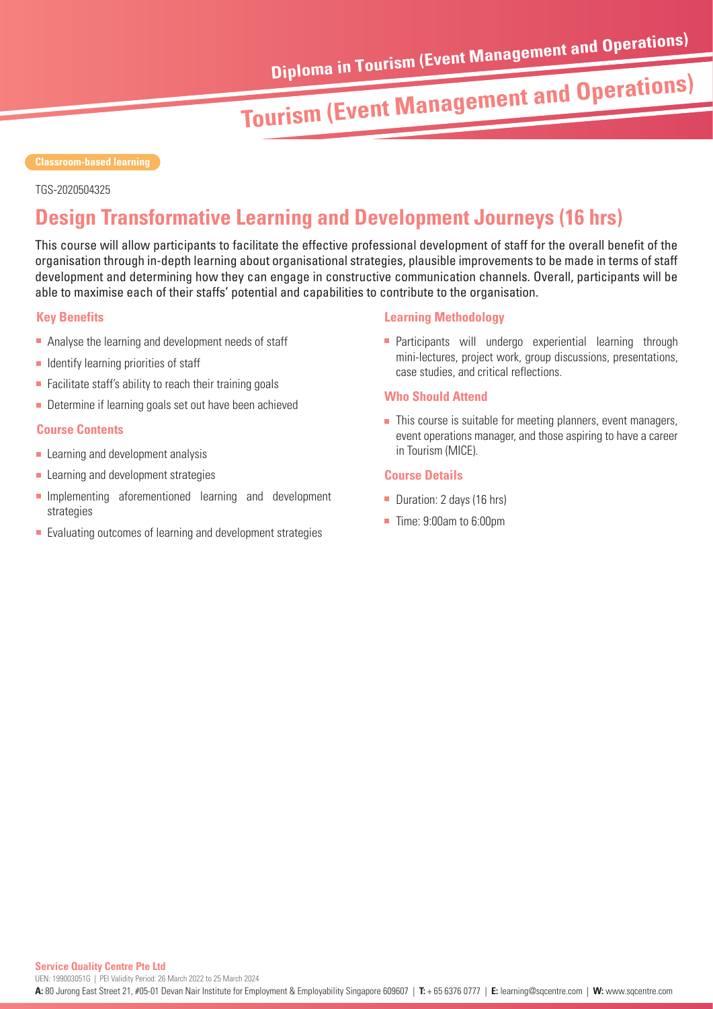TGS-2020504325

### **Design Transformative Learning and Development Journeys (16 hrs)**

This course will allow participants to facilitate the effective professional development of staff for the overall benefit of the organisation through in-depth learning about organisational strategies, plausible improvements to be made in terms of staff development and determining how they can engage in constructive communication channels. Overall, participants will be able to maximise each of their staffs' potential and capabilities to contribute to the organisation.

#### **Key Benefits**

- Analyse the learning and development needs of staff
- $\blacksquare$  Identify learning priorities of staff
- $\blacksquare$  Facilitate staff's ability to reach their training goals
- Determine if learning goals set out have been achieved

#### **Course Contents**

- $\blacksquare$  Learning and development analysis
- **Learning and development strategies**
- **Implementing aforementioned learning and development** strategies
- Evaluating outcomes of learning and development strategies

### **Learning Methodology**

**Participants will undergo experiential learning through** mini-lectures, project work, group discussions, presentations, case studies, and critical reflections.

#### **Who Should Attend**

 $\blacksquare$  This course is suitable for meeting planners, event managers, event operations manager, and those aspiring to have a career in Tourism (MICE).

- Duration: 2 days (16 hrs)
- Time: 9:00am to 6:00pm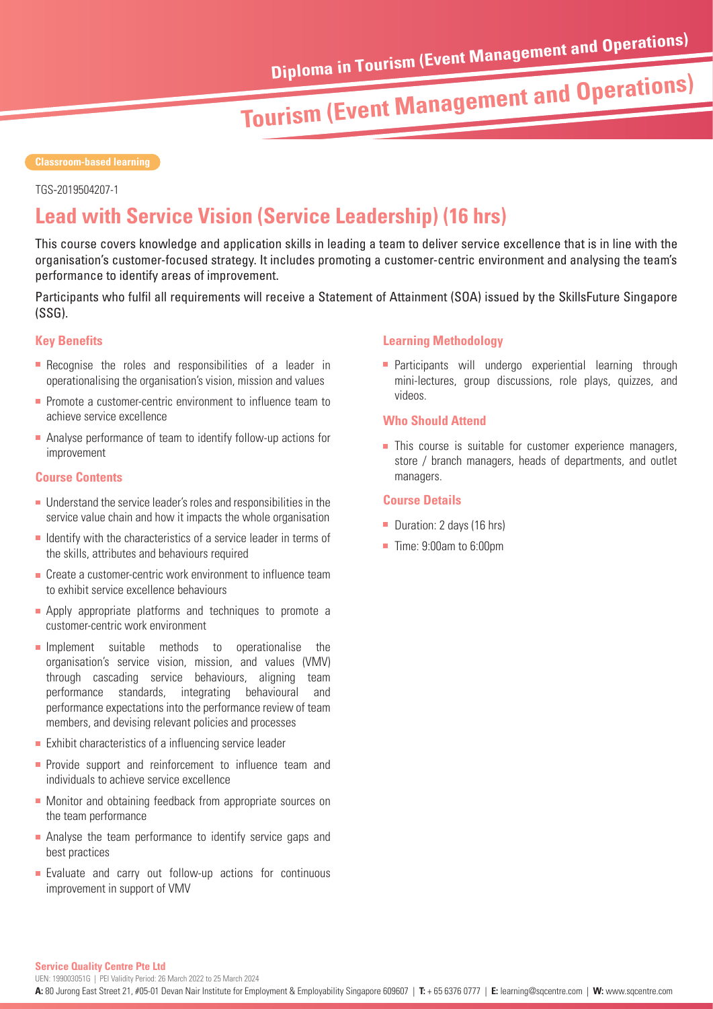#### **Classroom-based learning**

TGS-2019504207-1

## **Lead with Service Vision (Service Leadership) (16 hrs)**

This course covers knowledge and application skills in leading a team to deliver service excellence that is in line with the organisation's customer-focused strategy. It includes promoting a customer-centric environment and analysing the team's performance to identify areas of improvement.

Participants who fulfil all requirements will receive a Statement of Attainment (SOA) issued by the SkillsFuture Singapore (SSG).

#### **Key Benefits**

- **Recognise the roles and responsibilities of a leader in** operationalising the organisation's vision, mission and values
- **Promote a customer-centric environment to influence team to** achieve service excellence
- Analyse performance of team to identify follow-up actions for improvement

### **Course Contents Course Contents Course Contents**

- Understand the service leader's roles and responsibilities in the service value chain and how it impacts the whole organisation
- $\blacksquare$  Identify with the characteristics of a service leader in terms of the skills, attributes and behaviours required
- **Create a customer-centric work environment to influence team** to exhibit service excellence behaviours
- **Apply appropriate platforms and techniques to promote a** customer-centric work environment
- **Implement** suitable methods to operationalise the organisation's service vision, mission, and values (VMV) through cascading service behaviours, aligning team performance standards, integrating behavioural and performance expectations into the performance review of team members, and devising relevant policies and processes
- **Exhibit characteristics of a influencing service leader**
- **Provide support and reinforcement to influence team and** individuals to achieve service excellence
- **Monitor and obtaining feedback from appropriate sources on** the team performance
- Analyse the team performance to identify service gaps and best practices
- **Evaluate and carry out follow-up actions for continuous** improvement in support of VMV

### **Learning Methodology**

**Participants will undergo experiential learning through** mini-lectures, group discussions, role plays, quizzes, and videos.

#### **Who Should Attend**

**This course is suitable for customer experience managers,** store / branch managers, heads of departments, and outlet

### **Course Details**

- Duration: 2 days (16 hrs)
- Time: 9:00am to 6:00pm

#### **Service Quality Centre Pte Ltd**

UEN: 199003051G | PEI Validity Period: 26 March 2022 to 25 March 2024